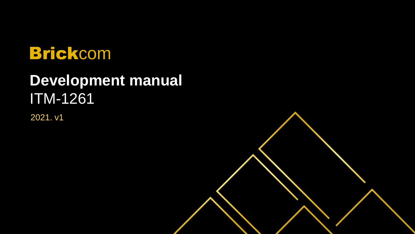## Brickcom

## **Development manual** ITM-1261

2021. v1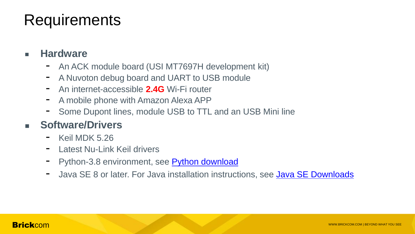#### Requirements

#### ■ **Hardware**

- An ACK module board (USI MT7697H development kit)
- A Nuvoton debug board and UART to USB module
- An internet-accessible **2.4G** Wi-Fi router
- A mobile phone with Amazon Alexa APP
- Some Dupont lines, module USB to TTL and an USB Mini line

#### **Software/Drivers**

- Keil MDK 5.26
- Latest Nu-Link Keil drivers
- Python-3.8 environment, see Python download
- Java SE 8 or later. For Java installation instructions, see [Java SE Downloads](https://www.oracle.com/technetwork/java/javase/downloads/index.html)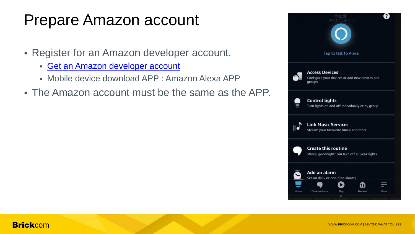### Prepare Amazon account

- Register for an Amazon developer account.
	- [Get an Amazon developer account](https://developer.amazon.com/alexa/console/ack/)
	- Mobile device download APP : Amazon Alexa APP
- The Amazon account must be the same as the APP.

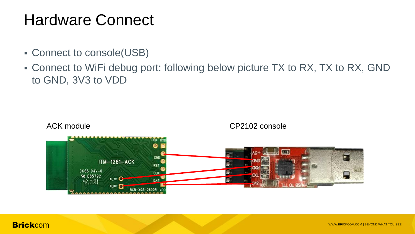#### Hardware Connect

- Connect to console(USB)
- Connect to WiFi debug port: following below picture TX to RX, TX to RX, GND to GND, 3V3 to VDD

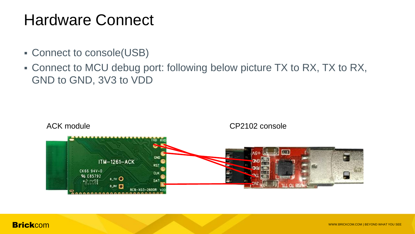#### Hardware Connect

- Connect to console(USB)
- Connect to MCU debug port: following below picture TX to RX, TX to RX, GND to GND, 3V3 to VDD



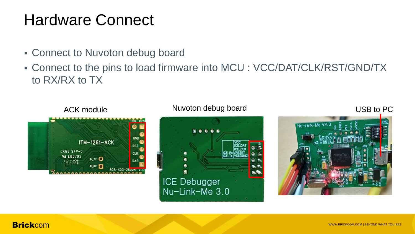#### Hardware Connect

- **Connect to Nuvoton debug board**
- Connect to the pins to load firmware into MCU : VCC/DAT/CLK/RST/GND/TX to RX/RX to TX



#### ACK module **Nuvoton debug board Nuvoton debug board USB to PC**



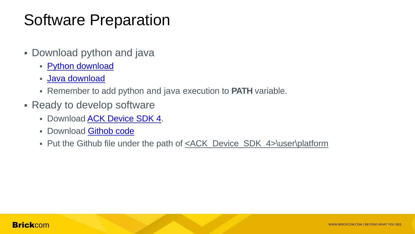## Software Preparation

- **Download python and java** 
	- **[Python download](https://www.python.org/ftp/python/3.8.6/python-3.8.6-amd64.exe)**
	- **[Java](https://www.oracle.com/java/technologies/downloads/) [download](https://www.oracle.com/java/technologies/downloads/)**
	- Remember to add python and java execution to **PATH** variable.
- Ready to develop software
	- Download [ACK Device SDK 4.](https://developer.amazon.com/en-US/docs/alexa/ack/ack-device-sdk.html)
	- Download [Githob code](https://github.com/Brickcom/ACK-HMCU)
	- Put the Github file under the path of <u><ACK\_Device\_SDK\_4>\user\platform</u>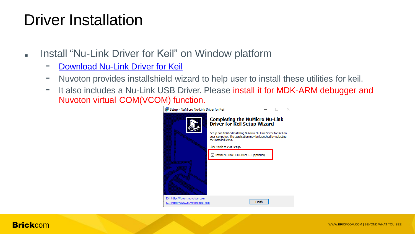#### Driver Installation

- **Install "Nu-Link Driver for Keil" on Window platform** 
	- [Download Nu-Link Driver for Keil](https://www.nuvoton.com/support/tool-and-software/software/dirver/?__locale=en_US)
	- Nuvoton provides installshield wizard to help user to install these utilities for keil.
	- It also includes a Nu-Link USB Driver. Please install it for MDK-ARM debugger and Nuvoton virtual COM(VCOM) function.

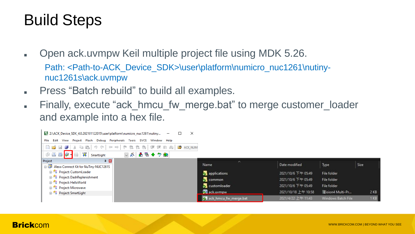## Build Steps

- Open ack.uvmpw Keil multiple project file using MDK 5.26. Path: <Path-to-ACK\_Device\_SDK>\user\platform\numicro\_nuc1261\nutinynuc1261s\ack.uvmpw
- **Press "Batch rebuild" to build all examples.**
- Finally, execute "ack hmcu fw merge.bat" to merge customer\_loader and example into a hex file.

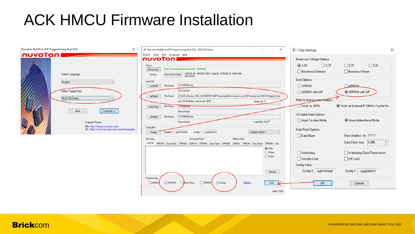### ACK HMCU Firmware Installation

| Nuvoton NuMicro ICP Programming Tool 3.03                                                 | $\times$<br>$\qquad \qquad \Box$<br>$\times$<br>Nuvoton NuMicro ICP Programming Tool 3.03 - NUC126 Series<br>$\qquad \qquad$                                                                    | Chip Settings<br>×                                                                                                          |
|-------------------------------------------------------------------------------------------|-------------------------------------------------------------------------------------------------------------------------------------------------------------------------------------------------|-----------------------------------------------------------------------------------------------------------------------------|
| <b>NUVOTON</b><br>Select Language:                                                        | Project Chips Tool Language Help<br>nuvoToni<br>Status<br>Chip Connected with Nu-Link (ID: 18000f42)<br>Disconnect<br>NUC1261S64AE LDROM:4K, APROM:256K, Data:0K, SPROM:2K, RAM:20K<br>Part No. | Brown-out Voltage Options<br>O2.2V<br>@4.5V<br>O2.7V<br>O3.7V<br>□ Brown-out Reset<br>Brown-out Detector                    |
| English<br>$\checkmark$<br>Select Target Chip:                                            | Load File<br>C:\LDROM.hex<br>File Name:<br>LDROM<br>File not load.<br>Z:\ACK_Device_SDK_4.0.202101122015\user\platform\numicro_nuc1261\nutiny-nuc1261s\Merged_Sma<br>File Name:<br>APROM        | Boot Options<br>OLDROM<br>APROM<br>APROM with IAP<br>O LDROM with IAP                                                       |
| NUC126 Series<br>$\sim$<br>Quit<br>Continue >>                                            | Offset $0x$ $\boxed{0}$<br>size: 58.9K Bytes, checksum: 6872<br>File Name:<br>C:\Data.hex<br>Data Flash<br>File not load.<br>C:\SPROM.hex<br>File Name:<br>SPROM                                | PF[4:3] Multi-function Options<br>Work as GPIO<br>Work as External 4~24MHz Crystal Pin<br>-1/0 Initial State Options:       |
| Support Forum<br>EN: http://forum.nuvoton.com<br>SC: http://www.nuvoton-mcu.com/forum.php | Last Byte: $0x$ FF<br>File not load.<br>Config Bits<br>Config 1: 0x000FFFFF<br>Config 0: 0xFFFFFFBF<br>< Update History ><br>Setting                                                            | <b>O Quasi-bidirectional Mode</b><br>◯ Input Tri-state Mode<br>Data Flash Options<br>Base Address: 0x FFFFF<br>□ Data Flash |
|                                                                                           | File Data<br>Dn-board Flash<br>Offline Flash<br>LDROM APROM Data-Flash SPROM LDROM APROM Data-Flash SPROM LDROM APROM Data-Flash SPROM Info<br>@8 bits<br>◯ 16 bits<br>$O$ 32 bits              | Data Flash Size: 0.00K<br>□ Watchdog<br>Watchdog Clock Power-down                                                           |
|                                                                                           | Refresh<br>Programming                                                                                                                                                                          | $\Box$ ICE Lock<br>□ Security Lock<br>Config Value<br>Config 0: 0xFFFFFFBF<br>Config 1: 0x000FFFFF                          |
|                                                                                           | $\Box$ APROM<br>$\Box$ SPROM<br>$\Box$ LDROM<br>□ Config<br>Options<br>Data Flash<br>Start<br>Build: 7091r                                                                                      | OK.<br>Cancel                                                                                                               |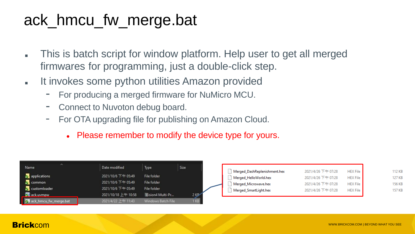## ack\_hmcu\_fw\_merge.bat

- This is batch script for window platform. Help user to get all merged firmwares for programming, just a double-click step.
- **It invokes some python utilities Amazon provided** 
	- For producing a merged firmware for NuMicro MCU.
	- Connect to Nuvoton debug board.
	- For OTA upgrading file for publishing on Amazon Cloud.
		- Please remember to modify the device type for yours.

| $\sim$<br>Name          | Date modified       | Type                       | Size |  |
|-------------------------|---------------------|----------------------------|------|--|
| applications            | 2021/10/6 下午 05:49  | File folder                |      |  |
| common                  | 2021/10/6 下午 05:49  | File folder                |      |  |
| customloader            | 2021/10/6 下午 05:49  | File folder                |      |  |
| ack.uvmpw               | 2021/10/18 上午 10:58 | 猩ision4 Multi-Pr<br>2 K P  |      |  |
| 7 ack_hmcu_fw_merge.bat | 2021/4/22 上午 11:43  | Windows Batch File<br>I KB |      |  |

| Merged_DashReplenishment.hex | 2021/4/26 下午 07:28 | <b>HEX File</b> | 112 KB |
|------------------------------|--------------------|-----------------|--------|
| Merged_HelloWorld.hex        | 2021/4/26 下午 07:28 | <b>HEX File</b> | 127 KB |
| Merged_Microwave.hex         | 2021/4/26 下午 07:28 | <b>HEX File</b> | 156 KB |
| Merged_SmartLight.hex        | 2021/4/26 下午 07:28 | <b>HEX File</b> | 157 KB |
|                              |                    |                 |        |

#### **Brick** COM www.brickcom.com | BEYOND WHAT YOU SEE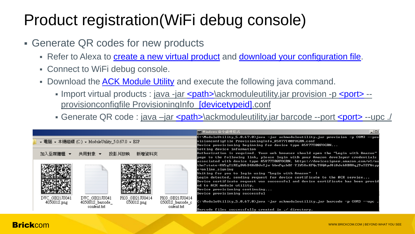## Product registration(WiFi debug console)

- Generate QR codes for new products
	- Refer to Alexa to [create a new virtual product](https://developer.amazon.com/en-US/docs/alexa/ack/create-virtual-product.html) and [download your configuration file.](https://developer.amazon.com/en-US/docs/alexa/ack/provision.html)
	- Connect to WiFi debug console.
	- Download the [ACK Module Utility](https://developer.amazon.com/en-US/docs/alexa/ack/module-utility-cli-quick-start.html) and execute the following java command.
		- Import virtual products : java -jar [<path>\](#page-16-0)ackmoduleutility.jar provision -p [<port>](#page-16-0) -provisionconfigfile ProvisioningInfo[\\_\[devicetypeid\].](#page-16-0)conf
		- Generate QR code : java –jar [<path>\](#page-16-0)ackmoduleutility.jar barcode --port [<port>](#page-16-0) --upc ./

|                                                                                        |                                 |                                                     | <b>ME Windows 命令虚理程式</b><br>그미                                                                                                                                                                                                                                                                                                                                                                                                                                                                                                                                                                                                                                  |
|----------------------------------------------------------------------------------------|---------------------------------|-----------------------------------------------------|-----------------------------------------------------------------------------------------------------------------------------------------------------------------------------------------------------------------------------------------------------------------------------------------------------------------------------------------------------------------------------------------------------------------------------------------------------------------------------------------------------------------------------------------------------------------------------------------------------------------------------------------------------------------|
| - 電腦 - 本機磁碟 (C:) - ModuleUtility_5.0.67.0 - ESP                                        |                                 |                                                     | C:\ModuleUtility_5.0.67.0>java -jar ackmoduleutility.jar provision -p COM3 --pro<br>visionconfigfile ProvisioningInfo_A5V77I00FOGRN.conf<br>Device provisioning beginning for device type A5U77I00FOGRN                                                                                                                                                                                                                                                                                                                                                                                                                                                         |
| 加入至媒體櫃 ▼<br>共用對象 ▼                                                                     | 投影月放映<br>新增資料來                  |                                                     | Setting device information<br>Authorization is required. Your web browser should open the "Login with Amazon"<br>page to the following link, please login with your Amazon developer credentials                                                                                                                                                                                                                                                                                                                                                                                                                                                                |
| DVC GB21JU041<br>DVC_GB21JU041<br>$405001$ S_barcode_<br>$405001$ S.png<br>content.txt | PKG GB21JU0414<br>$05001$ S.png | PKG GB21JU0414<br>$05001$ S_barcode_c<br>ontent.txt | associated with device type A5U77T00FOGRN. https://devicesigner.amazon.com/v1/au<br>thn?state=XW5gT1REgDW6D4KdDJnYjw-bbmPqzbBf-Y1W5XnKFQc9KQAyJ8i8Jek8BRHqj9aTEY&typ<br>$e = on line\_signing$<br>Waiting for you to login using "Login with Amazon"<br>Login detected, sending request for device certificate to the ACK service<br>Device certificate request was successful and device certificate has been provid<br>ed to ACK module utility.<br>Device provisioning continuing<br>Device provisioning successful<br>C:\ModuleUtility_5.0.67.0>java -jar ackmoduleutility.jar barcode -p COM3 --upc<br>Barcode files successfully created in ./ directory. |

#### <span id="page-11-0"></span>**Brick** COM www.brickcom.com | BEYOND WHAT YOU SEE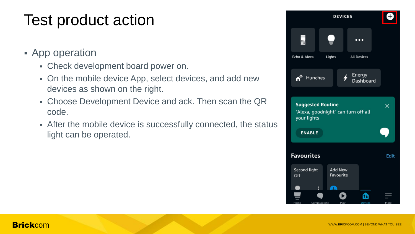## Test product action

- **App operation** 
	- Check development board power on.
	- On the mobile device App, select devices, and add new devices as shown on the right.
	- Choose Development Device and ack. Then scan the QR code.
	- After the mobile device is successfully connected, the status light can be operated.

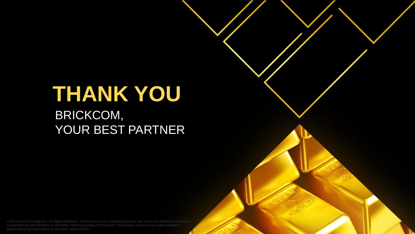# **THANK YOU**

BRICKCOM, YOUR BEST PARTNER

Explorent any specifications or warranties relating to products of Brickcom. Technology. Brickcom may make changes to<br>Brick Web any specifications or warranties relating to products of Brickcom Technology. Brickcom may mak © Brickcom Technology Inc., All Rights Reserved. This document is for planning purposes only, and is not intended to modify or specifications and descriptions at any time, without notice.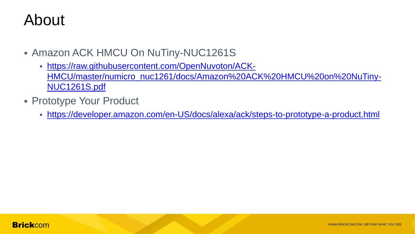#### About

- **Amazon ACK HMCU On NuTiny-NUC1261S** 
	- [https://raw.githubusercontent.com/OpenNuvoton/ACK-](https://raw.githubusercontent.com/OpenNuvoton/ACK-HMCU/master/numicro_nuc1261/docs/Amazon ACK HMCU on NuTiny-NUC1261S.pdf)[HMCU/master/numicro\\_nuc1261/docs/Amazon%20ACK%20HMCU%20on%20NuTiny-](https://raw.githubusercontent.com/OpenNuvoton/ACK-HMCU/master/numicro_nuc1261/docs/Amazon ACK HMCU on NuTiny-NUC1261S.pdf)[NUC1261S.pdf](https://raw.githubusercontent.com/OpenNuvoton/ACK-HMCU/master/numicro_nuc1261/docs/Amazon ACK HMCU on NuTiny-NUC1261S.pdf)
- **Prototype Your Product** 
	- <https://developer.amazon.com/en-US/docs/alexa/ack/steps-to-prototype-a-product.html>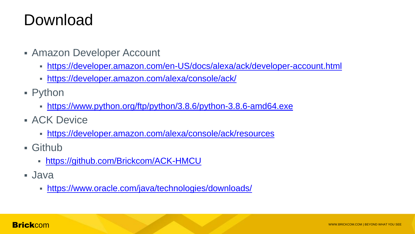## Download

- **Amazon Developer Account** 
	- <https://developer.amazon.com/en-US/docs/alexa/ack/developer-account.html>
	- <https://developer.amazon.com/alexa/console/ack/>
- **-** Python
	- <https://www.python.org/ftp/python/3.8.6/python-3.8.6-amd64.exe>
- **ACK Device** 
	- <https://developer.amazon.com/alexa/console/ack/resources>
- Github
	- <https://github.com/Brickcom/ACK-HMCU>
- Java
	- <https://www.oracle.com/java/technologies/downloads/>